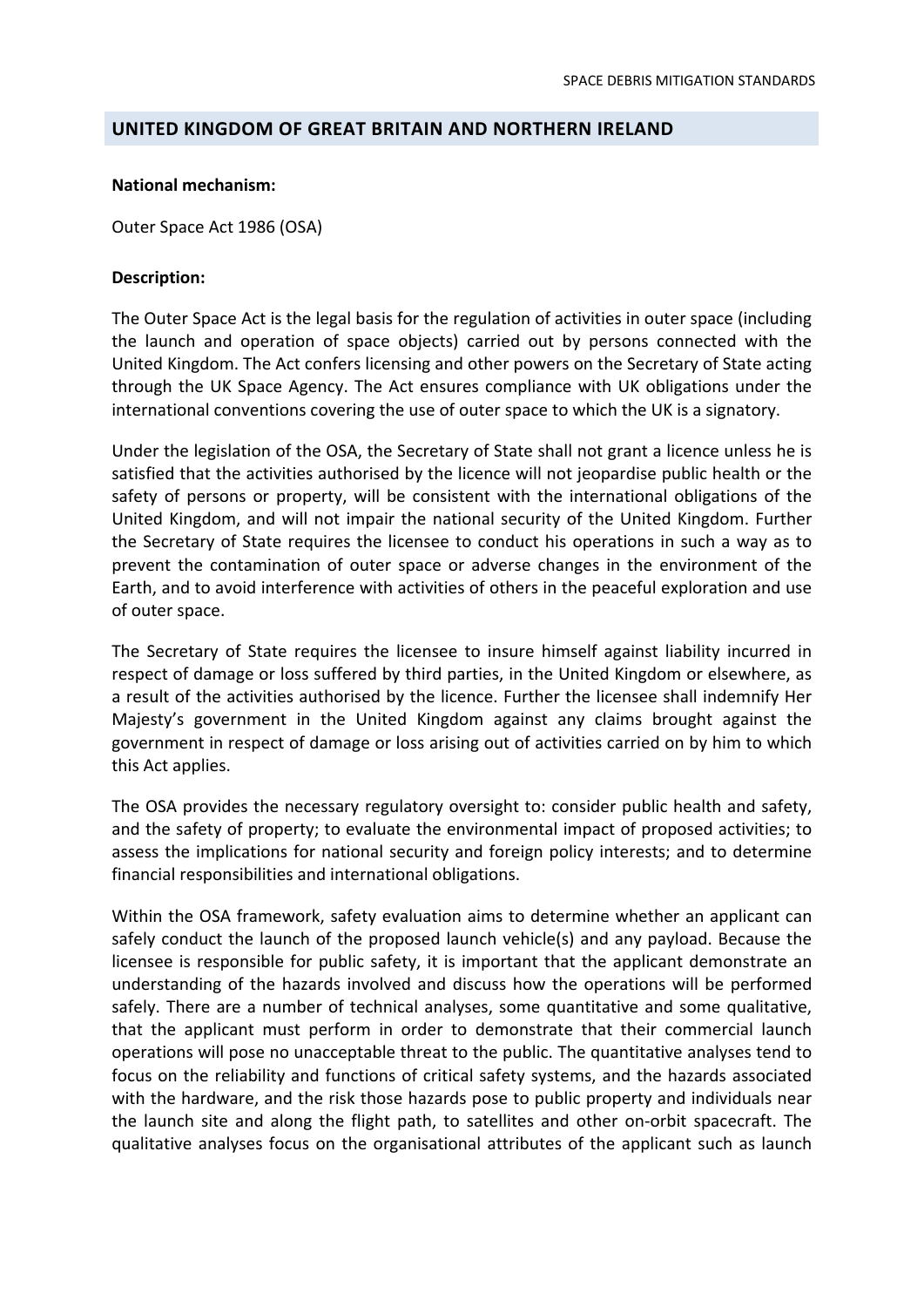## **UNITED KINGDOM OF GREAT BRITAIN AND NORTHERN IRELAND**

#### **National mechanism:**

Outer Space Act 1986 (OSA)

#### **Description:**

The Outer Space Act is the legal basis for the regulation of activities in outer space (including the launch and operation of space objects) carried out by persons connected with the United Kingdom. The Act confers licensing and other powers on the Secretary of State acting through the UK Space Agency. The Act ensures compliance with UK obligations under the international conventions covering the use of outer space to which the UK is a signatory.

Under the legislation of the OSA, the Secretary of State shall not grant a licence unless he is satisfied that the activities authorised by the licence will not jeopardise public health or the safety of persons or property, will be consistent with the international obligations of the United Kingdom, and will not impair the national security of the United Kingdom. Further the Secretary of State requires the licensee to conduct his operations in such a way as to prevent the contamination of outer space or adverse changes in the environment of the Earth, and to avoid interference with activities of others in the peaceful exploration and use of outer space.

The Secretary of State requires the licensee to insure himself against liability incurred in respect of damage or loss suffered by third parties, in the United Kingdom or elsewhere, as a result of the activities authorised by the licence. Further the licensee shall indemnify Her Majesty's government in the United Kingdom against any claims brought against the government in respect of damage or loss arising out of activities carried on by him to which this Act applies.

The OSA provides the necessary regulatory oversight to: consider public health and safety, and the safety of property; to evaluate the environmental impact of proposed activities; to assess the implications for national security and foreign policy interests; and to determine financial responsibilities and international obligations.

Within the OSA framework, safety evaluation aims to determine whether an applicant can safely conduct the launch of the proposed launch vehicle(s) and any payload. Because the licensee is responsible for public safety, it is important that the applicant demonstrate an understanding of the hazards involved and discuss how the operations will be performed safely. There are a number of technical analyses, some quantitative and some qualitative, that the applicant must perform in order to demonstrate that their commercial launch operations will pose no unacceptable threat to the public. The quantitative analyses tend to focus on the reliability and functions of critical safety systems, and the hazards associated with the hardware, and the risk those hazards pose to public property and individuals near the launch site and along the flight path, to satellites and other on‐orbit spacecraft. The qualitative analyses focus on the organisational attributes of the applicant such as launch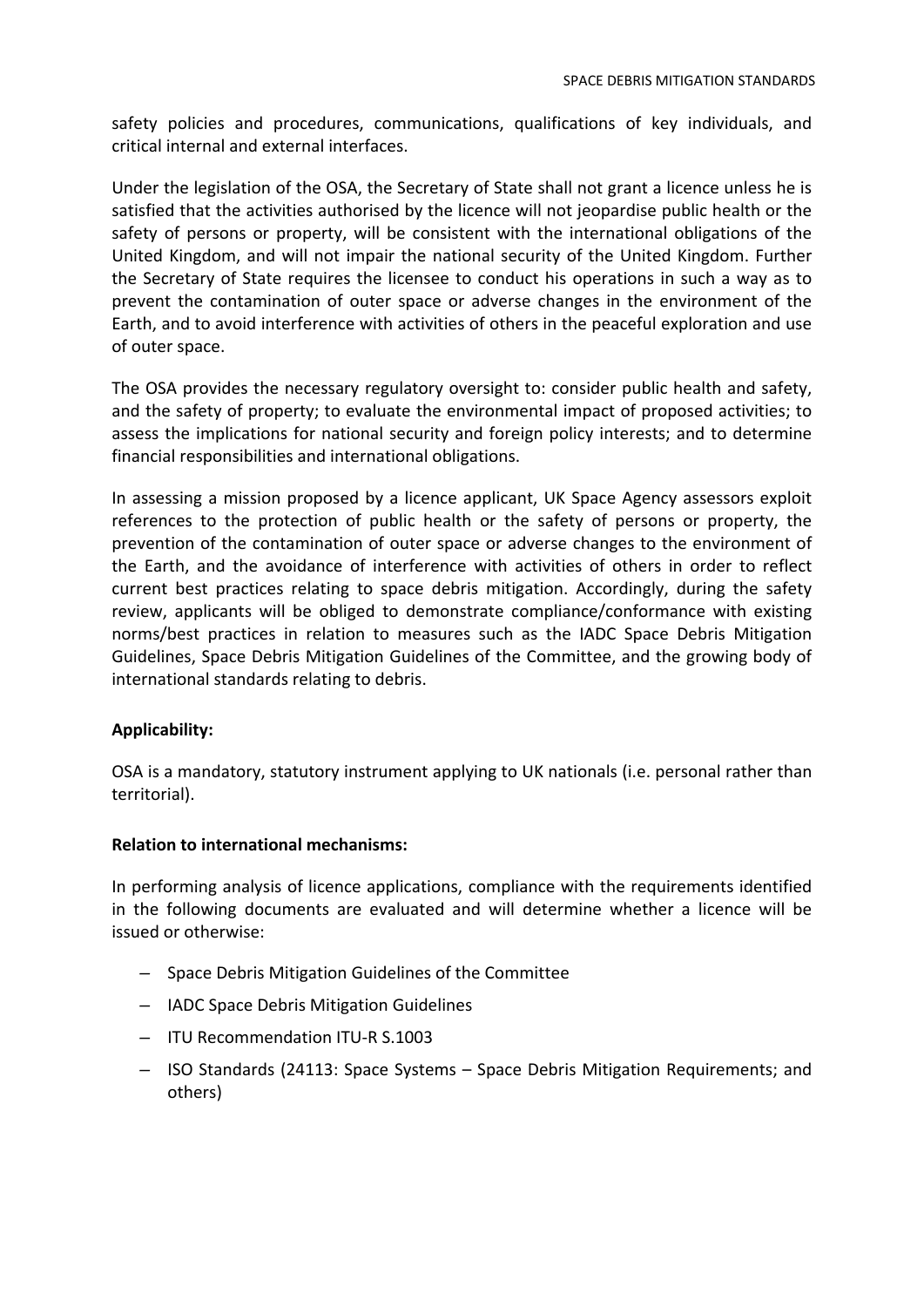safety policies and procedures, communications, qualifications of key individuals, and critical internal and external interfaces.

Under the legislation of the OSA, the Secretary of State shall not grant a licence unless he is satisfied that the activities authorised by the licence will not jeopardise public health or the safety of persons or property, will be consistent with the international obligations of the United Kingdom, and will not impair the national security of the United Kingdom. Further the Secretary of State requires the licensee to conduct his operations in such a way as to prevent the contamination of outer space or adverse changes in the environment of the Earth, and to avoid interference with activities of others in the peaceful exploration and use of outer space.

The OSA provides the necessary regulatory oversight to: consider public health and safety, and the safety of property; to evaluate the environmental impact of proposed activities; to assess the implications for national security and foreign policy interests; and to determine financial responsibilities and international obligations.

In assessing a mission proposed by a licence applicant, UK Space Agency assessors exploit references to the protection of public health or the safety of persons or property, the prevention of the contamination of outer space or adverse changes to the environment of the Earth, and the avoidance of interference with activities of others in order to reflect current best practices relating to space debris mitigation. Accordingly, during the safety review, applicants will be obliged to demonstrate compliance/conformance with existing norms/best practices in relation to measures such as the IADC Space Debris Mitigation Guidelines, Space Debris Mitigation Guidelines of the Committee, and the growing body of international standards relating to debris.

## **Applicability:**

OSA is a mandatory, statutory instrument applying to UK nationals (i.e. personal rather than territorial).

#### **Relation to international mechanisms:**

In performing analysis of licence applications, compliance with the requirements identified in the following documents are evaluated and will determine whether a licence will be issued or otherwise:

- Space Debris Mitigation Guidelines of the Committee
- IADC Space Debris Mitigation Guidelines
- ITU Recommendation ITU‐R S.1003
- ISO Standards (24113: Space Systems Space Debris Mitigation Requirements; and others)